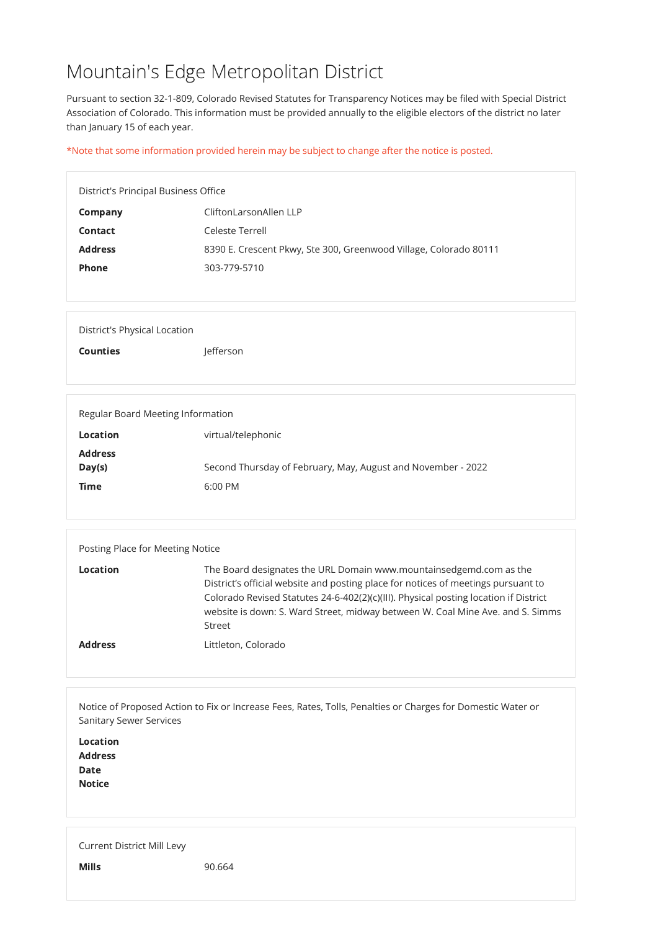# Mountain's Edge Metropolitan District

Pursuant to section 32-1-809, Colorado Revised Statutes for Transparency Notices may be filed with Special District Association of Colorado. This information must be provided annually to the eligible electors of the district no later than January 15 of each year.

| <b>Company</b>                    | CliftonLarsonAllen LLP                                            |  |
|-----------------------------------|-------------------------------------------------------------------|--|
| <b>Contact</b>                    | Celeste Terrell                                                   |  |
| <b>Address</b>                    | 8390 E. Crescent Pkwy, Ste 300, Greenwood Village, Colorado 80111 |  |
| <b>Phone</b>                      | 303-779-5710                                                      |  |
|                                   |                                                                   |  |
|                                   |                                                                   |  |
| District's Physical Location      |                                                                   |  |
| <b>Counties</b>                   | Jefferson                                                         |  |
|                                   |                                                                   |  |
|                                   |                                                                   |  |
| Regular Board Meeting Information |                                                                   |  |
| <b>Location</b>                   | virtual/telephonic                                                |  |
| <b>Address</b>                    |                                                                   |  |
| Day(s)                            | Second Thursday of February, May, August and November - 2022      |  |
| <b>Time</b>                       | 6:00 PM                                                           |  |

\*Note that some information provided herein may be subject to change after the notice is posted.

| Posting Place for Meeting Notice |                                                                                                                                                                                                                                                                                                                                                    |  |  |
|----------------------------------|----------------------------------------------------------------------------------------------------------------------------------------------------------------------------------------------------------------------------------------------------------------------------------------------------------------------------------------------------|--|--|
| <b>Location</b>                  | The Board designates the URL Domain www.mountainsedgemd.com as the<br>District's official website and posting place for notices of meetings pursuant to<br>Colorado Revised Statutes 24-6-402(2)(c)(III). Physical posting location if District<br>website is down: S. Ward Street, midway between W. Coal Mine Ave. and S. Simms<br><b>Street</b> |  |  |
| <b>Address</b>                   | Littleton, Colorado                                                                                                                                                                                                                                                                                                                                |  |  |

Notice of Proposed Action to Fix or Increase Fees, Rates, Tolls, Penalties or Charges for Domestic Water or Sanitary Sewer Services

Location Address Date Notice

Current District Mill Levy

**Mills** 90.664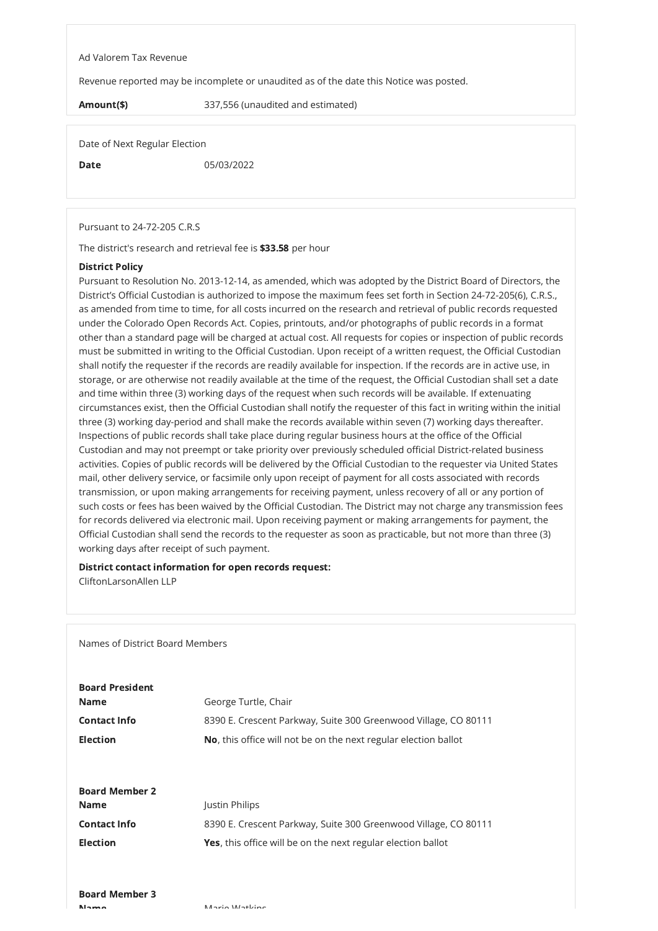#### Ad Valorem Tax Revenue

Revenue reported may be incomplete or unaudited as of the date this Notice was posted.

Amount(\$) 337,556 (unaudited and estimated)

Date of Next Regular Election

Date 05/03/2022

Pursuant to 24-72-205 C.R.S

The district's research and retrieval fee is \$33.58 per hour

### District Policy

Pursuant to Resolution No. 2013-12-14, as amended, which was adopted by the District Board of Directors, the District's Official Custodian is authorized to impose the maximum fees set forth in Section 24-72-205(6), C.R.S., as amended from time to time, for all costs incurred on the research and retrieval of public records requested under the Colorado Open Records Act. Copies, printouts, and/or photographs of public records in a format other than a standard page will be charged at actual cost. All requests for copies or inspection of public records must be submitted in writing to the Official Custodian. Upon receipt of a written request, the Official Custodian shall notify the requester if the records are readily available for inspection. If the records are in active use, in storage, or are otherwise not readily available at the time of the request, the Official Custodian shall set a date and time within three (3) working days of the request when such records will be available. If extenuating circumstances exist, then the Official Custodian shall notify the requester of this fact in writing within the initial three (3) working day-period and shall make the records available within seven (7) working days thereafter. Inspections of public records shall take place during regular business hours at the office of the Official Custodian and may not preempt or take priority over previously scheduled official District-related business activities. Copies of public records will be delivered by the Official Custodian to the requester via United States mail, other delivery service, or facsimile only upon receipt of payment for all costs associated with records transmission, or upon making arrangements for receiving payment, unless recovery of all or any portion of such costs or fees has been waived by the Official Custodian. The District may not charge any transmission fees for records delivered via electronic mail. Upon receiving payment or making arrangements for payment, the Official Custodian shall send the records to the requester as soon as practicable, but not more than three (3) working days after receipt of such payment.

## District contact information for open records request:

CliftonLarsonAllen LLP

Names of District Board Members

Board President

George Turtle, Ch

| Name.                 | George Turtie, Chair                                            |
|-----------------------|-----------------------------------------------------------------|
| <b>Contact Info</b>   | 8390 E. Crescent Parkway, Suite 300 Greenwood Village, CO 80111 |
| <b>Election</b>       | No, this office will not be on the next regular election ballot |
|                       |                                                                 |
|                       |                                                                 |
| <b>Board Member 2</b> |                                                                 |
| <b>Name</b>           | <b>Justin Philips</b>                                           |
| <b>Contact Info</b>   | 8390 E. Crescent Parkway, Suite 300 Greenwood Village, CO 80111 |
| <b>Election</b>       | Yes, this office will be on the next regular election ballot    |
|                       |                                                                 |
|                       |                                                                 |
| <b>Board Member 3</b> |                                                                 |
| <b>N</b> lame         | Mario Watking                                                   |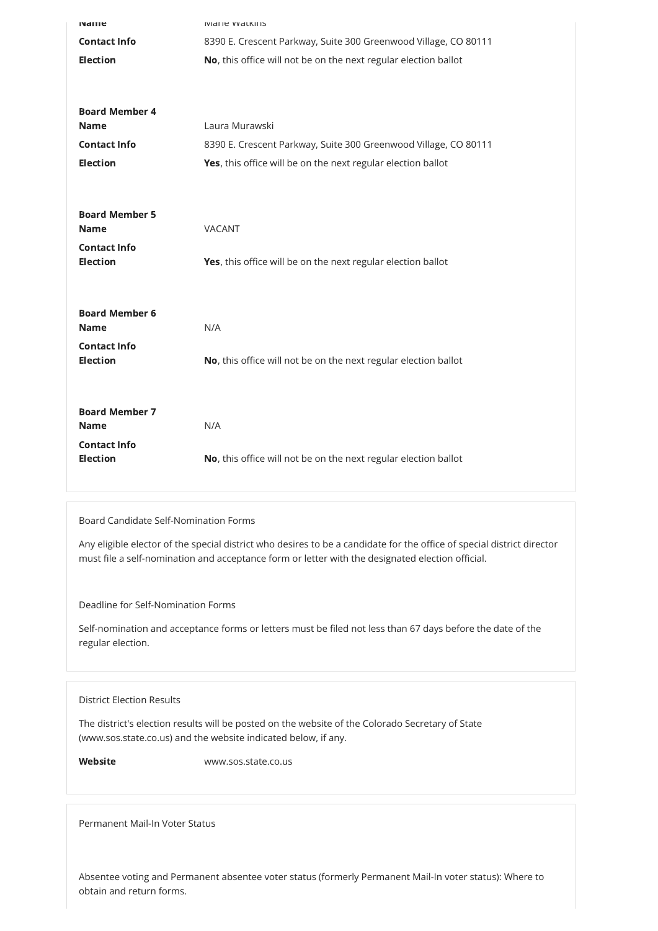| <b>NAILE</b>                         | <b>IVIDITE VVOLKIIIS</b>                                        |
|--------------------------------------|-----------------------------------------------------------------|
| <b>Contact Info</b>                  | 8390 E. Crescent Parkway, Suite 300 Greenwood Village, CO 80111 |
| <b>Election</b>                      | No, this office will not be on the next regular election ballot |
|                                      |                                                                 |
|                                      |                                                                 |
| <b>Board Member 4</b><br><b>Name</b> | Laura Murawski                                                  |
| <b>Contact Info</b>                  | 8390 E. Crescent Parkway, Suite 300 Greenwood Village, CO 80111 |
| <b>Election</b>                      | Yes, this office will be on the next regular election ballot    |
|                                      |                                                                 |
|                                      |                                                                 |
| <b>Board Member 5</b>                |                                                                 |
| <b>Name</b>                          | <b>VACANT</b>                                                   |
| <b>Contact Info</b>                  |                                                                 |
| <b>Election</b>                      | Yes, this office will be on the next regular election ballot    |
|                                      |                                                                 |
| <b>Board Member 6</b>                |                                                                 |
| <b>Name</b>                          | N/A                                                             |
| <b>Contact Info</b>                  |                                                                 |
| <b>Election</b>                      | No, this office will not be on the next regular election ballot |
|                                      |                                                                 |
|                                      |                                                                 |
| <b>Board Member 7</b><br><b>Name</b> | N/A                                                             |
| <b>Contact Info</b>                  |                                                                 |
| <b>Election</b>                      | No, this office will not be on the next regular election ballot |
|                                      |                                                                 |

## Board Candidate Self-Nomination Forms

Any eligible elector of the special district who desires to be a candidate for the office of special district director must file a self-nomination and acceptance form or letter with the designated election official.

Deadline for Self-Nomination Forms

Self-nomination and acceptance forms or letters must be filed not less than 67 days before the date of the regular election.

District Election Results

The district's election results will be posted on the website of the Colorado Secretary of State (www.sos.state.co.us) and the website indicated below, if any.

Website www.sos.state.co.us

Permanent Mail-In Voter Status

Absentee voting and Permanent absentee voter status (formerly Permanent Mail-In voter status): Where to obtain and return forms.